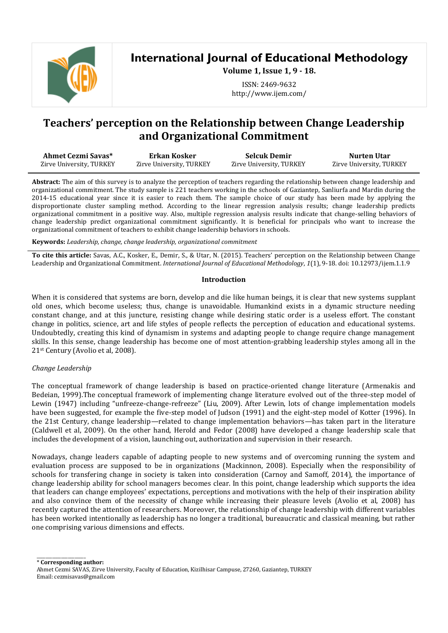

**International Journal of Educational Methodology**

**Volume 1, Issue 1, 9 - 18.**

ISSN: 2469-9632 http://www.ijem.com/

# **Teachers' perception on the Relationship between Change Leadership and Organizational Commitment**

| Ahmet Cezmi Savas*       | Erkan Kosker             | <b>Selcuk Demir</b>      | Nurten Utar              |  |
|--------------------------|--------------------------|--------------------------|--------------------------|--|
| Zirve University, TURKEY | Zirve University, TURKEY | Zirve University, TURKEY | Zirve University, TURKEY |  |

**Abstract:** The aim of this survey is to analyze the perception of teachers regarding the relationship between change leadership and organizational commitment. The study sample is 221 teachers working in the schools of Gaziantep, Sanliurfa and Mardin during the 2014-15 educational year since it is easier to reach them. The sample choice of our study has been made by applying the disproportionate cluster sampling method. According to the linear regression analysis results; change leadership predicts organizational commitment in a positive way. Also, multiple regression analysis results indicate that change-selling behaviors of change leadership predict organizational commitment significantly. It is beneficial for principals who want to increase the organizational commitment of teachers to exhibit change leadership behaviors in schools.

**Keywords:** *Leadership, change, change leadership, organizational commitment*

**To cite this article:** Savas, A.C., Kosker, E., Demir, S., & Utar, N. (2015). Teachers' perception on the Relationship between Change Leadership and Organizational Commitment. *International Journal of Educational Methodology*, *1*(1), 9-18. doi: 10.12973/ijem.1.1.9

# **Introduction**

When it is considered that systems are born, develop and die like human beings, it is clear that new systems supplant old ones, which become useless; thus, change is unavoidable. Humankind exists in a dynamic structure needing constant change, and at this juncture, resisting change while desiring static order is a useless effort. The constant change in politics, science, art and life styles of people reflects the perception of education and educational systems. Undoubtedly, creating this kind of dynamism in systems and adapting people to change require change management skills. In this sense, change leadership has become one of most attention-grabbing leadership styles among all in the 21st Century (Avolio et al, 2008).

# *Change Leadership*

\_\_\_\_\_\_\_\_\_\_\_\_\_\_\_\_\_\_\_\_\_\_

The conceptual framework of change leadership is based on practice-oriented change literature (Armenakis and Bedeian, 1999).The conceptual framework of implementing change literature evolved out of the three-step model of Lewin (1947) including "unfreeze-change-refreeze" (Liu, 2009). After Lewin, lots of change implementation models have been suggested, for example the five-step model of Judson (1991) and the eight-step model of Kotter (1996). In the 21st Century, change leadership—related to change implementation behaviors—has taken part in the literature (Caldwell et al, 2009). On the other hand, Herold and Fedor (2008) have developed a change leadership scale that includes the development of a vision, launching out, authorization and supervision in their research.

Nowadays, change leaders capable of adapting people to new systems and of overcoming running the system and evaluation process are supposed to be in organizations (Mackinnon, 2008). Especially when the responsibility of schools for transfering change in society is taken into consideration (Carnoy and Samoff, 2014), the importance of change leadership ability for school managers becomes clear. In this point, change leadership which supports the idea that leaders can change employees' expectations, perceptions and motivations with the help of their inspiration ability and also convince them of the necessity of change while increasing their pleasure levels (Avolio et al, 2008) has recently captured the attention of researchers. Moreover, the relationship of change leadership with different variables has been worked intentionally as leadership has no longer a traditional, bureaucratic and classical meaning, but rather one comprising various dimensions and effects.

\* **Corresponding author:** Ahmet Cezmi SAVAS, Zirve University, Faculty of Education, Kizilhisar Campuse, 27260, Gaziantep, TURKEY Email: cezmisavas@gmail.com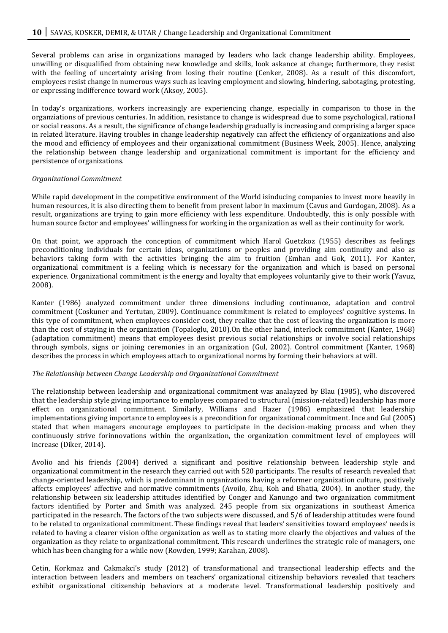Several problems can arise in organizations managed by leaders who lack change leadership ability. Employees, unwilling or disqualified from obtaining new knowledge and skills, look askance at change; furthermore, they resist with the feeling of uncertainty arising from losing their routine (Cenker, 2008). As a result of this discomfort, employees resist change in numerous ways such as leaving employment and slowing, hindering, sabotaging, protesting, or expressing indifference toward work (Aksoy, 2005).

In today's organizations, workers increasingly are experiencing change, especially in comparison to those in the organziations of previous centuries. In addition, resistance to change is widespread due to some psychological, rational or social reasons. As a result, the significance of change leadership gradually is increasing and comprising a larger space in related literature. Having troubles in change leadership negatively can affect the efficiency of organizations and also the mood and efficiency of employees and their organizational commitment (Business Week, 2005). Hence, analyzing the relationship between change leadership and organizational commitment is important for the efficiency and persistence of organizations.

#### *Organizational Commitment*

While rapid development in the competitive environment of the World isinducing companies to invest more heavily in human resources, it is also directing them to benefit from present labor in maximum (Cavus and Gurdogan, 2008). As a result, organizations are trying to gain more efficiency with less expenditure. Undoubtedly, this is only possible with human source factor and employees' willingness for working in the organization as well as their continuity for work.

On that point, we approach the conception of commitment which Harol Guetzkoz (1955) describes as feelings preconditioning individuals for certain ideas, organizations or peoples and providing aim continuity and also as behaviors taking form with the activities bringing the aim to fruition (Emhan and Gok, 2011). For Kanter, organizational commitment is a feeling which is necessary for the organization and which is based on personal experience. Organizational commitment is the energy and loyalty that employees voluntarily give to their work (Yavuz, 2008).

Kanter (1986) analyzed commitment under three dimensions including continuance, adaptation and control commitment (Coskuner and Yertutan, 2009). Continuance commitment is related to employees' cognitive systems. In this type of commitment, when employees consider cost, they realize that the cost of leaving the organization is more than the cost of staying in the organization (Topaloglu, 2010).On the other hand, interlock commitment (Kanter, 1968) (adaptation commitment) means that employees desist previous social relationships or involve social relationships through symbols, signs or joining ceremonies in an organization (Gul, 2002). Control commitment (Kanter, 1968) describes the process in which employees attach to organizational norms by forming their behaviors at will.

#### *The Relationship between Change Leadership and Organizational Commitment*

The relationship between leadership and organizational commitment was analayzed by Blau (1985), who discovered that the leadership style giving importance to employees compared to structural (mission-related) leadership has more effect on organizational commitment. Similarly, Williams and Hazer (1986) emphasized that leadership implementations giving importance to employees is a precondition for organizational commitment. Ince and Gul (2005) stated that when managers encourage employees to participate in the decision-making process and when they continuously strive forinnovations within the organization, the organization commitment level of employees will increase (Diker, 2014).

Avolio and his friends (2004) derived a significant and positive relationship between leadership style and organizational commitment in the research they carried out with 520 participants. The results of research revealed that change-oriented leadership, which is predominant in organizations having a reformer organization culture, positively affects employees' affective and normative commitments (Avoilo, Zhu, Koh and Bhatia, 2004). In another study, the relationship between six leadership attitudes identified by Conger and Kanungo and two organization commitment factors identified by Porter and Smith was analyzed. 245 people from six organizations in southeast America participated in the research. The factors of the two subjects were discussed, and 5/6 of leadership attitudes were found to be related to organizational commitment. These findings reveal that leaders' sensitivities toward employees' needs is related to having a clearer vision ofthe organization as well as to stating more clearly the objectives and values of the organization as they relate to organizational commitment. This research underlines the strategic role of managers, one which has been changing for a while now (Rowden, 1999; Karahan, 2008).

Cetin, Korkmaz and Cakmakci's study (2012) of transformational and transectional leadership effects and the interaction between leaders and members on teachers' organizational citizenship behaviors revealed that teachers exhibit organizational citizenship behaviors at a moderate level. Transformational leadership positively and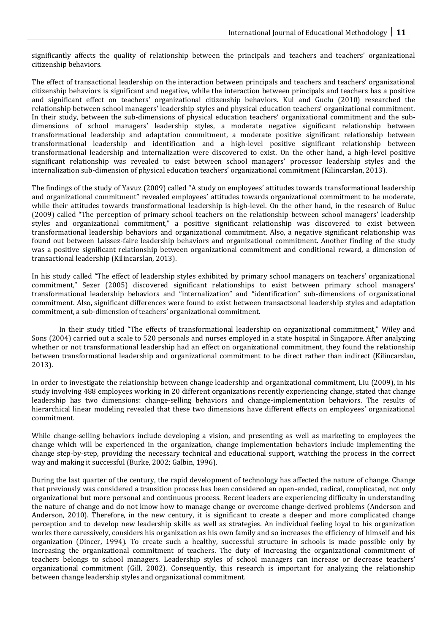significantly affects the quality of relationship between the principals and teachers and teachers' organizational citizenship behaviors.

The effect of transactional leadership on the interaction between principals and teachers and teachers' organizational citizenship behaviors is significant and negative, while the interaction between principals and teachers has a positive and significant effect on teachers' organizational citizenship behaviors. Kul and Guclu (2010) researched the relationship between school managers' leadership styles and physical education teachers' organizational commitment. In their study, between the sub-dimensions of physical education teachers' organizational commitment and the subdimensions of school managers' leadership styles, a moderate negative significant relationship between transformational leadership and adaptation commitment, a moderate positive significant relationship between transformational leadership and identification and a high-level positive significant relationship between transformational leadership and internalization were discovered to exist. On the other hand, a high-level positive significant relationship was revealed to exist between school managers' processor leadership styles and the internalization sub-dimension of physical education teachers' organizational commitment (Kilincarslan, 2013).

The findings of the study of Yavuz (2009) called "A study on employees' attitudes towards transformational leadership and organizational commitment" revealed employees' attitudes towards organizational commitment to be moderate, while their attitudes towards transformational leadership is high-level. On the other hand, in the research of Buluc (2009) called "The perception of primary school teachers on the relationship between school managers' leadership styles and organizational commitment," a positive significant relationship was discovered to exist between transformational leadership behaviors and organizational commitment. Also, a negative significant relationship was found out between Laissez-faire leadership behaviors and organizational commitment. Another finding of the study was a positive significant relationship between organizational commitment and conditional reward, a dimension of transactional leadership (Kilincarslan, 2013).

In his study called "The effect of leadership styles exhibited by primary school managers on teachers' organizational commitment," Sezer (2005) discovered significant relationships to exist between primary school managers' transformational leadership behaviors and "internalization" and "identification" sub-dimensions of organizational commitment. Also, significant differences were found to exist between transactsonal leadership styles and adaptation commitment, a sub-dimension of teachers' organizational commitment.

In their study titled "The effects of transformational leadership on organizational commitment," Wiley and Sons (2004) carried out a scale to 520 personals and nurses employed in a state hospital in Singapore. After analyzing whether or not transformational leadership had an effect on organizational commitment, they found the relationship between transformational leadership and organizational commitment to be direct rather than indirect (Kilincarslan, 2013).

In order to investigate the relationship between change leadership and organizational commitment, Liu (2009), in his study involving 488 employees working in 20 different organizations recently experiencing change, stated that change leadership has two dimensions: change-selling behaviors and change-implementation behaviors. The results of hierarchical linear modeling revealed that these two dimensions have different effects on employees' organizational commitment.

While change-selling behaviors include developing a vision, and presenting as well as marketing to employees the change which will be experienced in the organization, change implementation behaviors include implementing the change step-by-step, providing the necessary technical and educational support, watching the process in the correct way and making it successful (Burke, 2002; Galbin, 1996).

During the last quarter of the century, the rapid development of technology has affected the nature of change. Change that previously was considered a transition process has been considered an open-ended, radical, complicated, not only organizational but more personal and continuous process. Recent leaders are experiencing difficulty in understanding the nature of change and do not know how to manage change or overcome change-derived problems (Anderson and Anderson, 2010). Therefore, in the new century, it is significant to create a deeper and more complicated change perception and to develop new leadership skills as well as strategies. An individual feeling loyal to his organization works there caressively, considers his organization as his own family and so increases the efficiency of himself and his organization (Dincer, 1994). To create such a healthy, successful structure in schools is made possible only by increasing the organizational commitment of teachers. The duty of increasing the organizational commitment of teachers belongs to school managers. Leadership styles of school managers can increase or decrease teachers' organizational commitment (Gill, 2002). Consequently, this research is important for analyzing the relationship between change leadership styles and organizational commitment.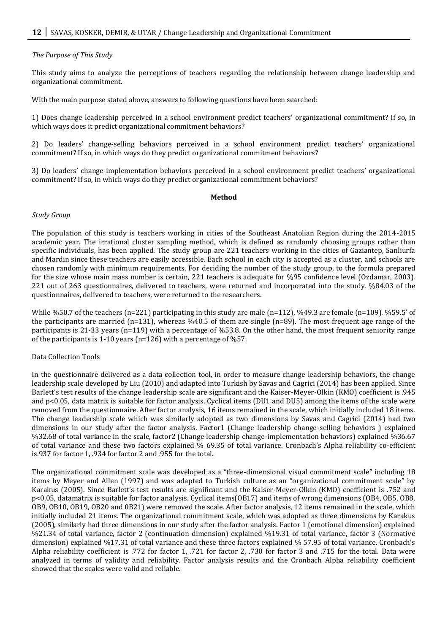# *The Purpose of This Study*

This study aims to analyze the perceptions of teachers regarding the relationship between change leadership and organizational commitment.

With the main purpose stated above, answers to following questions have been searched:

1) Does change leadership perceived in a school environment predict teachers' organizational commitment? If so, in which ways does it predict organizational commitment behaviors?

2) Do leaders' change-selling behaviors perceived in a school environment predict teachers' organizational commitment? If so, in which ways do they predict organizational commitment behaviors?

3) Do leaders' change implementation behaviors perceived in a school environment predict teachers' organizational commitment? If so, in which ways do they predict organizational commitment behaviors?

#### **Method**

#### *Study Group*

The population of this study is teachers working in cities of the Southeast Anatolian Region during the 2014-2015 academic year. The irrational cluster sampling method, which is defined as randomly choosing groups rather than specific individuals, has been applied. The study group are 221 teachers working in the cities of Gaziantep, Sanliurfa and Mardin since these teachers are easily accessible. Each school in each city is accepted as a cluster, and schools are chosen randomly with minimum requirements. For deciding the number of the study group, to the formula prepared for the size whose main mass number is certain, 221 teachers is adequate for %95 confidence level (Ozdamar, 2003). 221 out of 263 questionnaires, delivered to teachers, were returned and incorporated into the study. %84.03 of the questionnaires, delivered to teachers, were returned to the researchers.

While %50.7 of the teachers (n=221) participating in this study are male (n=112), %49.3 are female (n=109). %59.5' of the participants are married (n=131), whereas %40.5 of them are single (n=89). The most frequent age range of the participants is 21-33 years (n=119) with a percentage of %53.8. On the other hand, the most frequent seniority range of the participants is 1-10 years (n=126) with a percentage of %57.

#### Data Collection Tools

In the questionnaire delivered as a data collection tool, in order to measure change leadership behaviors, the change leadership scale developed by Liu (2010) and adapted into Turkish by Savas and Cagrici (2014) has been applied. Since Barlett's test results of the change leadership scale are significant and the Kaiser-Meyer-Olkin (KMO) coefficient is .945 and p<0.05, data matrix is suitable for factor analysis. Cyclical items (DU1 and DU5) among the items of the scale were removed from the questionnaire. After factor analysis, 16 items remained in the scale, which initially included 18 items. The change leadership scale which was similarly adopted as two dimensions by Savas and Cagrici (2014) had two dimensions in our study after the factor analysis. Factor1 (Change leadership change-selling behaviors ) explained %32.68 of total variance in the scale, factor2 (Change leadership change-implementation behaviors) explained %36.67 of total variance and these two factors explained % 69.35 of total variance. Cronbach's Alpha reliability co-efficient is.937 for factor 1, .934 for factor 2 and .955 for the total.

The organizational commitment scale was developed as a "three-dimensional visual commitment scale" including 18 items by Meyer and Allen (1997) and was adapted to Turkish culture as an "organizational commitment scale" by Karakus (2005). Since Barlett's test results are significant and the Kaiser-Meyer-Olkin (KMO) coefficient is .752 and p<0.05, datamatrix is suitable for factor analysis. Cyclical items(OB17) and items of wrong dimensions (OB4, OB5, OB8, OB9, OB10, OB19, OB20 and 0B21) were removed the scale. After factor analysis, 12 items remained in the scale, which initially included 21 items. The organizational commitment scale, which was adopted as three dimensions by Karakus (2005), similarly had three dimensions in our study after the factor analysis. Factor 1 (emotional dimension) explained %21.34 of total variance, factor 2 (continuation dimension) explained %19.31 of total variance, factor 3 (Normative dimension) explained %17.31 of total variance and these three factors explained % 57.95 of total variance. Cronbach's Alpha reliability coefficient is .772 for factor 1, .721 for factor 2, .730 for factor 3 and .715 for the total. Data were analyzed in terms of validity and reliability. Factor analysis results and the Cronbach Alpha reliability coefficient showed that the scales were valid and reliable.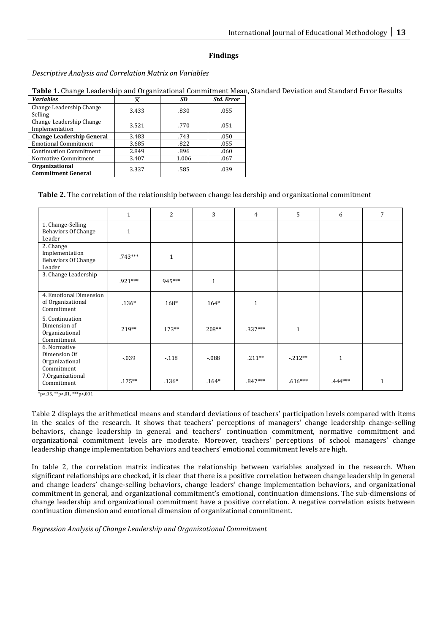# **Findings**

*Descriptive Analysis and Correlation Matrix on Variables* 

|   |  | <b>Table 1.</b> Change Leadership and Organizational Commitment Mean, Standard Deviation and Standard Error Results |  |
|---|--|---------------------------------------------------------------------------------------------------------------------|--|
| . |  |                                                                                                                     |  |

| <b>Variables</b>                                   | X     | SD    | <b>Std. Error</b> |
|----------------------------------------------------|-------|-------|-------------------|
| Change Leadership Change<br>Selling                | 3.433 | .830  | .055              |
| Change Leadership Change<br>Implementation         | 3.521 | .770  | .051              |
| <b>Change Leadership General</b>                   | 3.483 | .743  | .050              |
| <b>Emotional Commitment</b>                        | 3.685 | .822  | .055              |
| <b>Continuation Commitment</b>                     | 2.849 | .896  | .060              |
| Normative Commitment                               | 3.407 | 1.006 | .067              |
| <b>Organizational</b><br><b>Commitment General</b> | 3.337 | .585  | .039              |

# **Table 2.** The correlation of the relationship between change leadership and organizational commitment

|                                                                     | $\mathbf{1}$ | 2            | 3            | 4            | 5            | 6            | $\overline{7}$ |
|---------------------------------------------------------------------|--------------|--------------|--------------|--------------|--------------|--------------|----------------|
| 1. Change-Selling<br><b>Behaviors Of Change</b><br>Leader           | $\mathbf{1}$ |              |              |              |              |              |                |
| 2. Change<br>Implementation<br><b>Behaviors Of Change</b><br>Leader | $.743***$    | $\mathbf{1}$ |              |              |              |              |                |
| 3. Change Leadership                                                | $.921***$    | 945***       | $\mathbf{1}$ |              |              |              |                |
| 4. Emotional Dimension<br>of Organizational<br>Commitment           | $.136*$      | $168*$       | $164*$       | $\mathbf{1}$ |              |              |                |
| 5. Continuation<br>Dimension of<br>Organizational<br>Commitment     | 219**        | $173**$      | 208**        | $.337***$    | $\mathbf{1}$ |              |                |
| 6. Normative<br>Dimension Of<br>Organizational<br>Commitment        | $-0.39$      | $-118$       | $-0.088$     | $.211**$     | $-0.212**$   | $\mathbf{1}$ |                |
| 7.0rganizational<br>Commitment                                      | $.175***$    | $.136*$      | $.164*$      | $.847***$    | $.616***$    | $.444***$    | 1              |

\*p<,05, \*\*p<,01, \*\*\*p<,001

Table 2 displays the arithmetical means and standard deviations of teachers' participation levels compared with items in the scales of the research. It shows that teachers' perceptions of managers' change leadership change-selling behaviors, change leadership in general and teachers' continuation commitment, normative commitment and organizational commitment levels are moderate. Moreover, teachers' perceptions of school managers' change leadership change implementation behaviors and teachers' emotional commitment levels are high.

In table 2, the correlation matrix indicates the relationship between variables analyzed in the research. When significant relationships are checked, it is clear that there is a positive correlation between change leadership in general and change leaders' change-selling behaviors, change leaders' change implementation behaviors, and organizational commitment in general, and organizational commitment's emotional, continuation dimensions. The sub-dimensions of change leadership and organizational commitment have a positive correlation. A negative correlation exists between continuation dimension and emotional dimension of organizational commitment.

*Regression Analysis of Change Leadership and Organizational Commitment*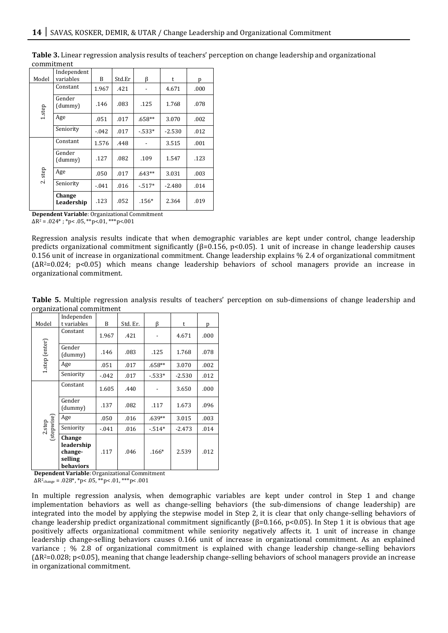| Model             | Independent<br>variables | B        | Std.Er | β        | t        | р    |
|-------------------|--------------------------|----------|--------|----------|----------|------|
|                   | Constant                 | 1.967    | .421   |          | 4.671    | .000 |
| $1.\mathsf{step}$ | Gender<br>(dummy)        | .146     | .083   | .125     | 1.768    | .078 |
|                   | Age                      | .051     | .017   | .658**   | 3.070    | .002 |
|                   | Seniority                | $-0.042$ | .017   | $-533*$  | $-2.530$ | .012 |
|                   | Constant                 | 1.576    | .448   |          | 3.515    | .001 |
|                   | Gender<br>(dummy)        | .127     | .082   | .109     | 1.547    | .123 |
| 2. step           | Age                      | .050     | .017   | $.643**$ | 3.031    | .003 |
|                   | Seniority                | $-0.041$ | .016   | $-517*$  | $-2.480$ | .014 |
|                   | Change<br>Leadership     | .123     | .052   | $.156*$  | 2.364    | .019 |

**Table 3.** Linear regression analysis results of teachers' perception on change leadership and organizational commitment

**Dependent Variable**: Organizational Commitment  $\Delta$ R<sup>2</sup> = .024<sup>\*</sup>; \*p<.05, \*\*p<.01, \*\*\*p<.001

Regression analysis results indicate that when demographic variables are kept under control, change leadership predicts organizational commitment significantly ( $\beta$ =0.156, p<0.05). 1 unit of increase in change leadership causes 0.156 unit of increase in organizational commitment. Change leadership explains % 2.4 of organizational commitment (ΔR2=0.024; p<0.05) which means change leadership behaviors of school managers provide an increase in organizational commitment.

**Table 5.** Multiple regression analysis results of teachers' perception on sub-dimensions of change leadership and organizational commitment

|  | Model                | Independen<br>t variables                               | B        | Std. Er. | β        | t        | p    |
|--|----------------------|---------------------------------------------------------|----------|----------|----------|----------|------|
|  | 1.step (enter)       | Constant                                                | 1.967    | .421     |          | 4.671    | .000 |
|  |                      | Gender<br>(dummy)                                       | .146     | .083     | .125     | 1.768    | .078 |
|  |                      | Age                                                     | .051     | .017     | $.658**$ | 3.070    | .002 |
|  |                      | Seniority                                               | $-0.042$ | .017     | $-533*$  | $-2.530$ | .012 |
|  | 2.step<br>(stepwise) | Constant                                                | 1.605    | .440     |          | 3.650    | .000 |
|  |                      | Gender<br>(dummy)                                       | .137     | .082     | .117     | 1.673    | .096 |
|  |                      | Age                                                     | .050     | .016     | $.639**$ | 3.015    | .003 |
|  |                      | Seniority                                               | $-0.041$ | .016     | $-514*$  | $-2.473$ | .014 |
|  |                      | Change<br>leadership<br>change-<br>selling<br>behaviors | .117     | .046     | $.166*$  | 2.539    | .012 |

**Dependent Variable**: Organizational Commitment

 $\Delta$ R<sup>2</sup><sub>change</sub> = .028\*, \*p< .05, \*\*p< .01, \*\*\*p< .001

In multiple regression analysis, when demographic variables are kept under control in Step 1 and change implementation behaviors as well as change-selling behaviors (the sub-dimensions of change leadership) are integrated into the model by applying the stepwise model in Step 2, it is clear that only change-selling behaviors of change leadership predict organizational commitment significantly (β=0.166, p<0.05). In Step 1 it is obvious that age positively affects organizational commitment while seniority negatively affects it. 1 unit of increase in change leadership change-selling behaviors causes 0.166 unit of increase in organizational commitment. As an explained variance ; % 2.8 of organizational commitment is explained with change leadership change-selling behaviors  $(\Delta R^2=0.028; p<0.05)$ , meaning that change leadership change-selling behaviors of school managers provide an increase in organizational commitment.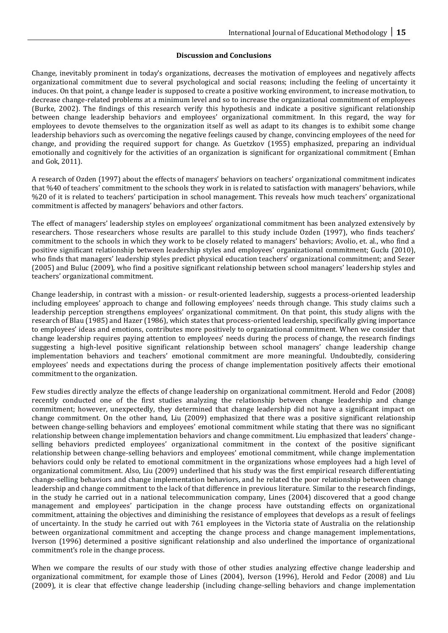# **Discussion and Conclusions**

Change, inevitably prominent in today's organizations, decreases the motivation of employees and negatively affects organizational commitment due to several psychological and social reasons; including the feeling of uncertainty it induces. On that point, a change leader is supposed to create a positive working environment, to increase motivation, to decrease change-related problems at a minimum level and so to increase the organizational commitment of employees (Burke, 2002). The findings of this research verify this hypothesis and indicate a positive significant relationship between change leadership behaviors and employees' organizational commitment. In this regard, the way for employees to devote themselves to the organization itself as well as adapt to its changes is to exhibit some change leadership behaviors such as overcoming the negative feelings caused by change, convincing employees of the need for change, and providing the required support for change. As Guetzkov (1955) emphasized, preparing an individual emotionally and cognitively for the activities of an organization is significant for organizational commitment (Emhan and Gok, 2011).

A research of Ozden (1997) about the effects of managers' behaviors on teachers' organizational commitment indicates that %40 of teachers' commitment to the schools they work in is related to satisfaction with managers' behaviors, while %20 of it is related to teachers' participation in school management. This reveals how much teachers' organizational commitment is affected by managers' behaviors and other factors.

The effect of managers' leadership styles on employees' organizational commitment has been analyzed extensively by researchers. Those researchers whose results are parallel to this study include Ozden (1997), who finds teachers' commitment to the schools in which they work to be closely related to managers' behaviors; Avolio, et. al., who find a positive significant relationship between leadership styles and employees' organizational commitment; Guclu (2010), who finds that managers' leadership styles predict physical education teachers' organizational commitment; and Sezer (2005) and Buluc (2009), who find a positive significant relationship between school managers' leadership styles and teachers' organizational commitment.

Change leadership, in contrast with a mission- or result-oriented leadership, suggests a process-oriented leadership including employees' approach to change and following employees' needs through change. This study claims such a leadership perception strengthens employees' organizational commitment. On that point, this study aligns with the research of Blau (1985) and Hazer (1986), which states that process-oriented leadership, specifically giving importance to employees' ideas and emotions, contributes more positively to organizational commitment. When we consider that change leadership requires paying attention to employees' needs during the process of change, the research findings suggesting a high-level positive significant relationship between school managers' change leadership change implementation behaviors and teachers' emotional commitment are more meaningful. Undoubtedly, considering employees' needs and expectations during the process of change implementation positively affects their emotional commitment to the organization.

Few studies directly analyze the effects of change leadership on organizational commitment. Herold and Fedor (2008) recently conducted one of the first studies analyzing the relationship between change leadership and change commitment; however, unexpectedly, they determined that change leadership did not have a significant impact on change commitment. On the other hand, Liu (2009) emphasized that there was a positive significant relationship between change-selling behaviors and employees' emotional commitment while stating that there was no significant relationship between change implementation behaviors and change commitment. Liu emphasized that leaders' changeselling behaviors predicted employees' organizational commitment in the context of the positive significant relationship between change-selling behaviors and employees' emotional commitment, while change implementation behaviors could only be related to emotional commitment in the organizations whose employees had a high level of organizational commitment. Also, Liu (2009) underlined that his study was the first empirical research differentiating change-selling behaviors and change implementation behaviors, and he related the poor relationship between change leadership and change commitment to the lack of that difference in previous literature. Similar to the research findings, in the study he carried out in a national telecommunication company, Lines (2004) discovered that a good change management and employees' participation in the change process have outstanding effects on organizational commitment, attaining the objectives and diminishing the resistance of employees that develops as a result of feelings of uncertainty. In the study he carried out with 761 employees in the Victoria state of Australia on the relationship between organizational commitment and accepting the change process and change management implementations, Iverson (1996) determined a positive significant relationship and also underlined the importance of organizational commitment's role in the change process.

When we compare the results of our study with those of other studies analyzing effective change leadership and organizational commitment, for example those of Lines (2004), Iverson (1996), Herold and Fedor (2008) and Liu (2009), it is clear that effective change leadership (including change-selling behaviors and change implementation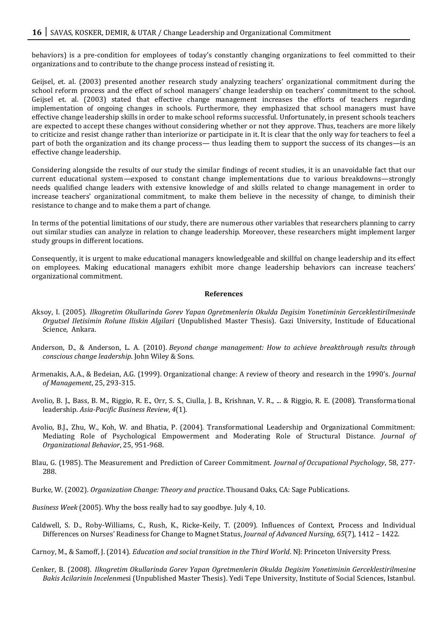behaviors) is a pre-condition for employees of today's constantly changing organizations to feel committed to their organizations and to contribute to the change process instead of resisting it.

Geijsel, et. al. (2003) presented another research study analyzing teachers' organizational commitment during the school reform process and the effect of school managers' change leadership on teachers' commitment to the school. Geijsel et. al. (2003) stated that effective change management increases the efforts of teachers regarding implementation of ongoing changes in schools. Furthermore, they emphasized that school managers must have effective change leadership skills in order to make school reforms successful. Unfortunately, in present schools teachers are expected to accept these changes without considering whether or not they approve. Thus, teachers are more likely to criticize and resist change rather than interiorize or participate in it. It is clear that the only way for teachers to feel a part of both the organization and its change process— thus leading them to support the success of its changes—is an effective change leadership.

Considering alongside the results of our study the similar findings of recent studies, it is an unavoidable fact that our current educational system—exposed to constant change implementations due to various breakdowns—strongly needs qualified change leaders with extensive knowledge of and skills related to change management in order to increase teachers' organizational commitment, to make them believe in the necessity of change, to diminish their resistance to change and to make them a part of change.

In terms of the potential limitations of our study, there are numerous other variables that researchers planning to carry out similar studies can analyze in relation to change leadership. Moreover, these researchers might implement larger study groups in different locations.

Consequently, it is urgent to make educational managers knowledgeable and skillful on change leadership and its effect on employees. Making educational managers exhibit more change leadership behaviors can increase teachers' organizational commitment.

#### **References**

- Aksoy, I. (2005). *Ilkogretim Okullarinda Gorev Yapan Ogretmenlerin Okulda Degisim Yonetiminin Gerceklestirilmesinde Orgutsel Iletisimin Rolune Iliskin Algilari* (Unpublished Master Thesis). Gazi University, Institude of Educational Science, Ankara.
- Anderson, D., & Anderson, L. A. (2010). *Beyond change management: How to achieve breakthrough results through conscious change leadership*. John Wiley & Sons.
- Armenakis, A.A., & Bedeian, A.G. (1999). Organizational change: A review of theory and research in the 1990's. *Journal of Management*, 25, 293-315.
- Avolio, B. J., Bass, B. M., Riggio, R. E., Orr, S. S., Ciulla, J. B., Krishnan, V. R., ... & Riggio, R. E. (2008). Transformational leadership. *Asia-Pacific Business Review*, *4*(1).
- Avolio, B.J., Zhu, W., Koh, W. and Bhatia, P. (2004). Transformational Leadership and Organizational Commitment: Mediating Role of Psychological Empowerment and Moderating Role of Structural Distance. *Journal of Organizational Behavior*, 25, 951-968.
- Blau, G. (1985). The Measurement and Prediction of Career Commitment. *Journal of Occupational Psychology*, 58, 277- 288.

Burke, W. (2002). *Organization Change: Theory and practice*. Thousand Oaks, CA: Sage Publications.

- *Business Week* (2005). Why the boss really had to say goodbye. July 4, 10.
- Caldwell, S. D., Roby-Williams, C., Rush, K., Ricke-Keily, T. (2009). Influences of Context, Process and Individual Differences on Nurses' Readiness for Change to Magnet Status, *Journal of Advanced Nursing*, *65*(7), 1412 – 1422.

Carnoy, M., & Samoff, J. (2014). *Education and social transition in the Third World*. NJ: Princeton University Press.

Cenker, B. (2008). *Ilkogretim Okullarinda Gorev Yapan Ogretmenlerin Okulda Degisim Yonetiminin Gerceklestirilmesine Bakis Acilarinin Incelenme*si (Unpublished Master Thesis). Yedi Tepe University, Institute of Social Sciences, Istanbul.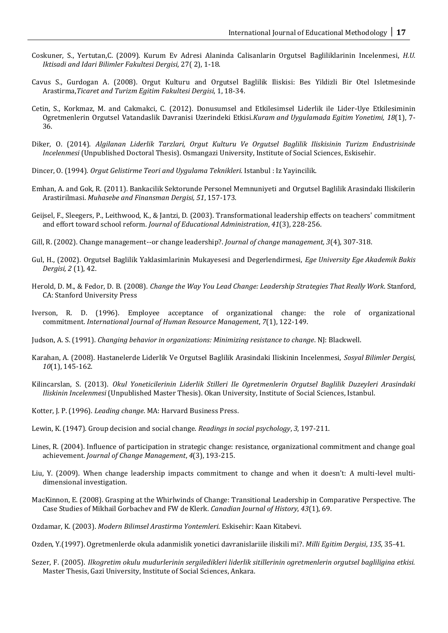- Coskuner, S., Yertutan,C. (2009). Kurum Ev Adresi Alaninda Calisanlarin Orgutsel Bagliliklarinin Incelenmesi, *H.U. Iktisadi and Idari Bilimler Fakultesi Dergisi*, 27( 2), 1-18.
- Cavus S., Gurdogan A. (2008). Orgut Kulturu and Orgutsel Baglilik Iliskisi: Bes Yildizli Bir Otel Isletmesinde Arastirma,*Ticaret and Turizm Egitim Fakultesi Dergisi*, 1, 18-34.
- Cetin, S., Korkmaz, M. and Cakmakci, C. (2012). Donusumsel and Etkilesimsel Liderlik ile Lider-Uye Etkilesiminin Ogretmenlerin Orgutsel Vatandaslik Davranisi Uzerindeki Etkisi.*Kuram and Uygulamada Egitim Yonetimi, 18*(1), 7- 36.
- Diker, O. (2014). *Algilanan Liderlik Tarzlari, Orgut Kulturu Ve Orgutsel Baglilik Iliskisinin Turizm Endustrisinde Incelenmesi* (Unpublished Doctoral Thesis). Osmangazi University, Institute of Social Sciences, Eskisehir.
- Dincer, O. (1994). *Orgut Gelistirme Teori and Uygulama Teknikleri.* Istanbul : Iz Yayincilik.
- Emhan, A. and Gok, R. (2011). Bankacilik Sektorunde Personel Memnuniyeti and Orgutsel Baglilik Arasindaki Iliskilerin Arastirilmasi. *Muhasebe and Finansman Dergisi, 51*, 157-173.
- Geijsel, F., Sleegers, P., Leithwood, K., & Jantzi, D. (2003). Transformational leadership effects on teachers' commitment and effort toward school reform. *Journal of Educational Administration*, *41*(3), 228-256.
- Gill, R. (2002). Change management--or change leadership?. *Journal of change management, 3*(4), 307-318.
- Gul, H., (2002). Orgutsel Baglilik Yaklasimlarinin Mukayesesi and Degerlendirmesi, *Ege University Ege Akademik Bakis Dergisi, 2* (1), 42.
- Herold, D. M., & Fedor, D. B. (2008). *Change the Way You Lead Change: Leadership Strategies That Really Work*. Stanford, CA: Stanford University Press
- Iverson, R. D. (1996). Employee acceptance of organizational change: the role of organizational commitment. *International Journal of Human Resource Management*, *7*(1), 122-149.
- Judson, A. S. (1991). *Changing behavior in organizations: Minimizing resistance to change*. NJ: Blackwell.
- Karahan, A. (2008). Hastanelerde Liderlik Ve Orgutsel Baglilik Arasindaki Iliskinin Incelenmesi, *Sosyal Bilimler Dergisi, 10*(1), 145-162.
- Kilincarslan, S. (2013). *Okul Yoneticilerinin Liderlik Stilleri Ile Ogretmenlerin Orgutsel Baglilik Duzeyleri Arasindaki Iliskinin Incelenmesi* (Unpublished Master Thesis). Okan University, Institute of Social Sciences, Istanbul.
- Kotter, J. P. (1996). *Leading change*. MA: Harvard Business Press.
- Lewin, K. (1947). Group decision and social change. *Readings in social psychology*, *3*, 197-211.
- Lines, R. (2004). Influence of participation in strategic change: resistance, organizational commitment and change goal achievement. *Journal of Change Management*, *4*(3), 193-215.
- Liu, Y. (2009). When change leadership impacts commitment to change and when it doesn't: A multi-level multidimensional investigation.
- MacKinnon, E. (2008). Grasping at the Whirlwinds of Change: Transitional Leadership in Comparative Perspective. The Case Studies of Mikhail Gorbachev and FW de Klerk. *Canadian Journal of History*, *43*(1), 69.
- Ozdamar, K. (2003). *Modern Bilimsel Arastirma Yontemleri*. Eskisehir: Kaan Kitabevi.
- Ozden, Y.(1997). Ogretmenlerde okula adanmislik yonetici davranislariile iliskili mi?. *Milli Egitim Dergisi*, *135*, 35-41.
- Sezer, F. (2005). *Ilkogretim okulu mudurlerinin sergiledikleri liderlik sitillerinin ogretmenlerin orgutsel bagliligina etkisi.* Master Thesis, Gazi University, Institute of Social Sciences, Ankara.